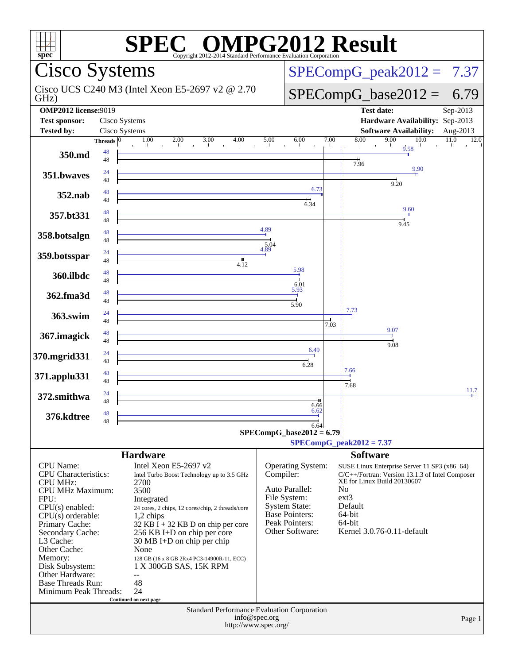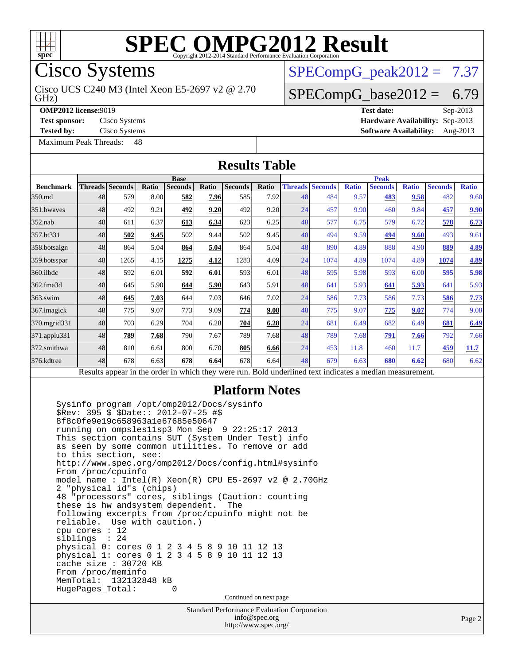

Cisco Systems

GHz) Cisco UCS C240 M3 (Intel Xeon E5-2697 v2 @ 2.70

**[Tested by:](http://www.spec.org/auto/omp2012/Docs/result-fields.html#Testedby)** Cisco Systems **[Software Availability:](http://www.spec.org/auto/omp2012/Docs/result-fields.html#SoftwareAvailability)** Aug-2013

 $SPECompG_peak2012 = 7.37$  $SPECompG_peak2012 = 7.37$ 

## $SPECompG_base2012 = 6.79$  $SPECompG_base2012 = 6.79$

**[OMP2012 license:](http://www.spec.org/auto/omp2012/Docs/result-fields.html#OMP2012license)**9019 **[Test date:](http://www.spec.org/auto/omp2012/Docs/result-fields.html#Testdate)** Sep-2013 **[Test sponsor:](http://www.spec.org/auto/omp2012/Docs/result-fields.html#Testsponsor)** Cisco Systems **[Hardware Availability:](http://www.spec.org/auto/omp2012/Docs/result-fields.html#HardwareAvailability)** Sep-2013

[Maximum Peak Threads:](http://www.spec.org/auto/omp2012/Docs/result-fields.html#MaximumPeakThreads) 48 **[Results Table](http://www.spec.org/auto/omp2012/Docs/result-fields.html#ResultsTable) [Benchmark](http://www.spec.org/auto/omp2012/Docs/result-fields.html#Benchmark) [Threads](http://www.spec.org/auto/omp2012/Docs/result-fields.html#Threads) [Seconds](http://www.spec.org/auto/omp2012/Docs/result-fields.html#Seconds) [Ratio](http://www.spec.org/auto/omp2012/Docs/result-fields.html#Ratio) [Seconds](http://www.spec.org/auto/omp2012/Docs/result-fields.html#Seconds) [Ratio](http://www.spec.org/auto/omp2012/Docs/result-fields.html#Ratio) [Seconds](http://www.spec.org/auto/omp2012/Docs/result-fields.html#Seconds) [Ratio](http://www.spec.org/auto/omp2012/Docs/result-fields.html#Ratio) Base [Threads](http://www.spec.org/auto/omp2012/Docs/result-fields.html#Threads) [Seconds](http://www.spec.org/auto/omp2012/Docs/result-fields.html#Seconds) [Ratio](http://www.spec.org/auto/omp2012/Docs/result-fields.html#Ratio) [Seconds](http://www.spec.org/auto/omp2012/Docs/result-fields.html#Seconds) [Ratio](http://www.spec.org/auto/omp2012/Docs/result-fields.html#Ratio) [Seconds](http://www.spec.org/auto/omp2012/Docs/result-fields.html#Seconds) [Ratio](http://www.spec.org/auto/omp2012/Docs/result-fields.html#Ratio) Peak** [350.md](http://www.spec.org/auto/omp2012/Docs/350.md.html) 48 579 8.00 **[582](http://www.spec.org/auto/omp2012/Docs/result-fields.html#Median) [7.96](http://www.spec.org/auto/omp2012/Docs/result-fields.html#Median)** 585 7.92 48 484 9.57 **[483](http://www.spec.org/auto/omp2012/Docs/result-fields.html#Median) [9.58](http://www.spec.org/auto/omp2012/Docs/result-fields.html#Median)** 482 9.60 [351.bwaves](http://www.spec.org/auto/omp2012/Docs/351.bwaves.html) 48 492 9.21 **[492](http://www.spec.org/auto/omp2012/Docs/result-fields.html#Median) [9.20](http://www.spec.org/auto/omp2012/Docs/result-fields.html#Median)** 492 9.20 24 457 9.90 460 9.84 **[457](http://www.spec.org/auto/omp2012/Docs/result-fields.html#Median) [9.90](http://www.spec.org/auto/omp2012/Docs/result-fields.html#Median)** [352.nab](http://www.spec.org/auto/omp2012/Docs/352.nab.html) 48 611 6.37 **[613](http://www.spec.org/auto/omp2012/Docs/result-fields.html#Median) [6.34](http://www.spec.org/auto/omp2012/Docs/result-fields.html#Median)** 623 6.25 48 577 6.75 579 6.72 **[578](http://www.spec.org/auto/omp2012/Docs/result-fields.html#Median) [6.73](http://www.spec.org/auto/omp2012/Docs/result-fields.html#Median)** [357.bt331](http://www.spec.org/auto/omp2012/Docs/357.bt331.html) 48 **[502](http://www.spec.org/auto/omp2012/Docs/result-fields.html#Median) [9.45](http://www.spec.org/auto/omp2012/Docs/result-fields.html#Median)** 502 9.44 502 9.45 48 494 9.59 **[494](http://www.spec.org/auto/omp2012/Docs/result-fields.html#Median) [9.60](http://www.spec.org/auto/omp2012/Docs/result-fields.html#Median)** 493 9.61 [358.botsalgn](http://www.spec.org/auto/omp2012/Docs/358.botsalgn.html) 48 864 5.04 **[864](http://www.spec.org/auto/omp2012/Docs/result-fields.html#Median) [5.04](http://www.spec.org/auto/omp2012/Docs/result-fields.html#Median)** 864 5.04 48 890 4.89 888 4.90 **[889](http://www.spec.org/auto/omp2012/Docs/result-fields.html#Median) [4.89](http://www.spec.org/auto/omp2012/Docs/result-fields.html#Median)** [359.botsspar](http://www.spec.org/auto/omp2012/Docs/359.botsspar.html) 48 1265 4.15 **[1275](http://www.spec.org/auto/omp2012/Docs/result-fields.html#Median) [4.12](http://www.spec.org/auto/omp2012/Docs/result-fields.html#Median)** 1283 4.09 24 1074 4.89 1074 4.89 **[1074](http://www.spec.org/auto/omp2012/Docs/result-fields.html#Median) [4.89](http://www.spec.org/auto/omp2012/Docs/result-fields.html#Median)** [360.ilbdc](http://www.spec.org/auto/omp2012/Docs/360.ilbdc.html) 48 592 6.01 **[592](http://www.spec.org/auto/omp2012/Docs/result-fields.html#Median) [6.01](http://www.spec.org/auto/omp2012/Docs/result-fields.html#Median)** 593 6.01 48 595 5.98 593 6.00 **[595](http://www.spec.org/auto/omp2012/Docs/result-fields.html#Median) [5.98](http://www.spec.org/auto/omp2012/Docs/result-fields.html#Median)** [362.fma3d](http://www.spec.org/auto/omp2012/Docs/362.fma3d.html) 48 645 5.90 **[644](http://www.spec.org/auto/omp2012/Docs/result-fields.html#Median) [5.90](http://www.spec.org/auto/omp2012/Docs/result-fields.html#Median)** 643 5.91 48 641 5.93 **[641](http://www.spec.org/auto/omp2012/Docs/result-fields.html#Median) [5.93](http://www.spec.org/auto/omp2012/Docs/result-fields.html#Median)** 641 5.93 [363.swim](http://www.spec.org/auto/omp2012/Docs/363.swim.html) 48 **[645](http://www.spec.org/auto/omp2012/Docs/result-fields.html#Median) [7.03](http://www.spec.org/auto/omp2012/Docs/result-fields.html#Median)** 644 7.03 646 7.02 24 586 7.73 586 7.73 **[586](http://www.spec.org/auto/omp2012/Docs/result-fields.html#Median) [7.73](http://www.spec.org/auto/omp2012/Docs/result-fields.html#Median)** [367.imagick](http://www.spec.org/auto/omp2012/Docs/367.imagick.html) 48 775 9.07 773 9.09 **[774](http://www.spec.org/auto/omp2012/Docs/result-fields.html#Median) [9.08](http://www.spec.org/auto/omp2012/Docs/result-fields.html#Median)** 48 775 9.07 **[775](http://www.spec.org/auto/omp2012/Docs/result-fields.html#Median) [9.07](http://www.spec.org/auto/omp2012/Docs/result-fields.html#Median)** 774 9.08 [370.mgrid331](http://www.spec.org/auto/omp2012/Docs/370.mgrid331.html) 48 703 6.29 704 6.28 **[704](http://www.spec.org/auto/omp2012/Docs/result-fields.html#Median) [6.28](http://www.spec.org/auto/omp2012/Docs/result-fields.html#Median)** 24 681 6.49 682 6.49 **[681](http://www.spec.org/auto/omp2012/Docs/result-fields.html#Median) [6.49](http://www.spec.org/auto/omp2012/Docs/result-fields.html#Median)** [371.applu331](http://www.spec.org/auto/omp2012/Docs/371.applu331.html) 48 **[789](http://www.spec.org/auto/omp2012/Docs/result-fields.html#Median) [7.68](http://www.spec.org/auto/omp2012/Docs/result-fields.html#Median)** 790 7.67 789 7.68 48 789 7.68 **[791](http://www.spec.org/auto/omp2012/Docs/result-fields.html#Median) [7.66](http://www.spec.org/auto/omp2012/Docs/result-fields.html#Median)** 792 7.66 [372.smithwa](http://www.spec.org/auto/omp2012/Docs/372.smithwa.html) 48 810 6.61 800 6.70 **[805](http://www.spec.org/auto/omp2012/Docs/result-fields.html#Median) [6.66](http://www.spec.org/auto/omp2012/Docs/result-fields.html#Median)** 24 453 11.8 460 11.7 **[459](http://www.spec.org/auto/omp2012/Docs/result-fields.html#Median) [11.7](http://www.spec.org/auto/omp2012/Docs/result-fields.html#Median)** [376.kdtree](http://www.spec.org/auto/omp2012/Docs/376.kdtree.html) 48 678 6.63 **[678](http://www.spec.org/auto/omp2012/Docs/result-fields.html#Median) [6.64](http://www.spec.org/auto/omp2012/Docs/result-fields.html#Median)** 678 6.64 48 679 6.63 **[680](http://www.spec.org/auto/omp2012/Docs/result-fields.html#Median) [6.62](http://www.spec.org/auto/omp2012/Docs/result-fields.html#Median)** 680 6.62 Results appear in the [order in which they were run.](http://www.spec.org/auto/omp2012/Docs/result-fields.html#RunOrder) Bold underlined text [indicates a median measurement.](http://www.spec.org/auto/omp2012/Docs/result-fields.html#Median)

#### **[Platform Notes](http://www.spec.org/auto/omp2012/Docs/result-fields.html#PlatformNotes)**

 Sysinfo program /opt/omp2012/Docs/sysinfo \$Rev: 395 \$ \$Date:: 2012-07-25 #\$ 8f8c0fe9e19c658963a1e67685e50647 running on ompsles11sp3 Mon Sep 9 22:25:17 2013 This section contains SUT (System Under Test) info as seen by some common utilities. To remove or add to this section, see: <http://www.spec.org/omp2012/Docs/config.html#sysinfo> From /proc/cpuinfo model name : Intel(R) Xeon(R) CPU E5-2697 v2 @ 2.70GHz 2 "physical id"s (chips) 48 "processors" cores, siblings (Caution: counting these is hw and system dependent. The following excerpts from /proc/cpuinfo might not be reliable. Use with caution.) cpu cores : 12 siblings : 24 physical 0: cores 0 1 2 3 4 5 8 9 10 11 12 13 physical 1: cores 0 1 2 3 4 5 8 9 10 11 12 13 cache size : 30720 KB From /proc/meminfo MemTotal: 132132848 kB<br>HugePages Total: 0 HugePages\_Total: 0 Continued on next page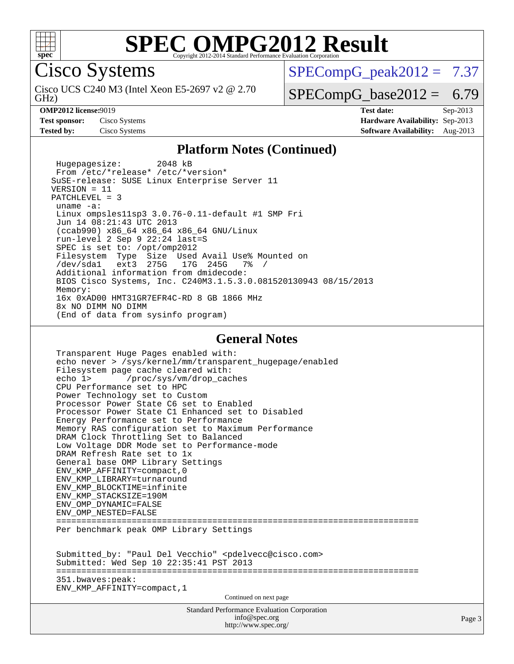

Cisco Systems

GHz) Cisco UCS C240 M3 (Intel Xeon E5-2697 v2 @ 2.70  $SPECompG<sub>peak2012</sub> = 7.37$ 

 $SPECompG_base2012 = 6.79$  $SPECompG_base2012 = 6.79$ 

**[OMP2012 license:](http://www.spec.org/auto/omp2012/Docs/result-fields.html#OMP2012license)**9019 **[Test date:](http://www.spec.org/auto/omp2012/Docs/result-fields.html#Testdate)** Sep-2013 **[Test sponsor:](http://www.spec.org/auto/omp2012/Docs/result-fields.html#Testsponsor)** Cisco Systems **[Hardware Availability:](http://www.spec.org/auto/omp2012/Docs/result-fields.html#HardwareAvailability)** Sep-2013 **[Tested by:](http://www.spec.org/auto/omp2012/Docs/result-fields.html#Testedby)** Cisco Systems **[Software Availability:](http://www.spec.org/auto/omp2012/Docs/result-fields.html#SoftwareAvailability)** Aug-2013

#### **[Platform Notes \(Continued\)](http://www.spec.org/auto/omp2012/Docs/result-fields.html#PlatformNotes)**

 Hugepagesize: 2048 kB From /etc/\*release\* /etc/\*version\* SuSE-release: SUSE Linux Enterprise Server 11 VERSION = 11 PATCHLEVEL = 3 uname -a: Linux ompsles11sp3 3.0.76-0.11-default #1 SMP Fri Jun 14 08:21:43 UTC 2013 (ccab990) x86\_64 x86\_64 x86\_64 GNU/Linux run-level 2 Sep 9 22:24 last=S SPEC is set to: /opt/omp2012 Filesystem Type Size Used Avail Use% Mounted on /dev/sda1 ext3 275G 17G 245G 7% / Additional information from dmidecode: BIOS Cisco Systems, Inc. C240M3.1.5.3.0.081520130943 08/15/2013 Memory: 16x 0xAD00 HMT31GR7EFR4C-RD 8 GB 1866 MHz 8x NO DIMM NO DIMM (End of data from sysinfo program)

#### **[General Notes](http://www.spec.org/auto/omp2012/Docs/result-fields.html#GeneralNotes)**

Standard Performance Evaluation Corporation [info@spec.org](mailto:info@spec.org) Page 3 Transparent Huge Pages enabled with: echo never > /sys/kernel/mm/transparent\_hugepage/enabled Filesystem page cache cleared with:<br>echo 1> /proc/sys/vm/drop cac /proc/sys/vm/drop\_caches CPU Performance set to HPC Power Technology set to Custom Processor Power State C6 set to Enabled Processor Power State C1 Enhanced set to Disabled Energy Performance set to Performance Memory RAS configuration set to Maximum Performance DRAM Clock Throttling Set to Balanced Low Voltage DDR Mode set to Performance-mode DRAM Refresh Rate set to 1x General base OMP Library Settings ENV\_KMP\_AFFINITY=compact,0 ENV\_KMP\_LIBRARY=turnaround ENV\_KMP\_BLOCKTIME=infinite ENV\_KMP\_STACKSIZE=190M ENV\_OMP\_DYNAMIC=FALSE ENV\_OMP\_NESTED=FALSE ======================================================================== Per benchmark peak OMP Library Settings Submitted\_by: "Paul Del Vecchio" <pdelvecc@cisco.com> Submitted: Wed Sep 10 22:35:41 PST 2013 ======================================================================== 351.bwaves:peak: ENV\_KMP\_AFFINITY=compact,1 Continued on next page

<http://www.spec.org/>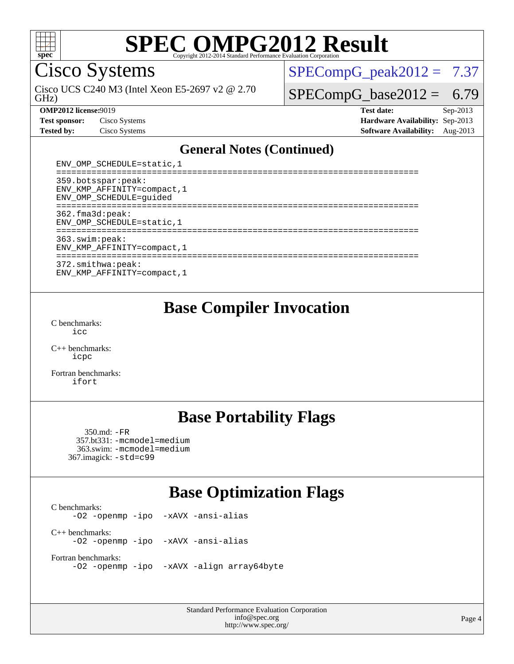

Cisco Systems

GHz) Cisco UCS C240 M3 (Intel Xeon E5-2697 v2 @ 2.70  $SPECompG_peak2012 = 7.37$  $SPECompG_peak2012 = 7.37$ 

 $SPECompG_base2012 = 6.79$  $SPECompG_base2012 = 6.79$ 

| <b>Test sponsor:</b> | Cisco Systems |
|----------------------|---------------|
| <b>Tested by:</b>    | Cisco Systems |

**[OMP2012 license:](http://www.spec.org/auto/omp2012/Docs/result-fields.html#OMP2012license)**9019 **[Test date:](http://www.spec.org/auto/omp2012/Docs/result-fields.html#Testdate)** Sep-2013 **[Hardware Availability:](http://www.spec.org/auto/omp2012/Docs/result-fields.html#HardwareAvailability)** Sep-2013 **[Software Availability:](http://www.spec.org/auto/omp2012/Docs/result-fields.html#SoftwareAvailability)** Aug-2013

#### **[General Notes \(Continued\)](http://www.spec.org/auto/omp2012/Docs/result-fields.html#GeneralNotes)**

| ENV_OMP_SCHEDULE=static, 1                                                    |
|-------------------------------------------------------------------------------|
| 359.botsspar: peak:<br>ENV KMP AFFINITY=compact, 1<br>ENV OMP SCHEDULE=quided |
| $362.f$ ma $3d:$ peak:<br>ENV OMP SCHEDULE=static, 1                          |
| 363.swin:peak:<br>ENV KMP AFFINITY=compact, 1                                 |
| 372.smithwa:peak:<br>ENV KMP AFFINITY=compact, 1                              |

**[Base Compiler Invocation](http://www.spec.org/auto/omp2012/Docs/result-fields.html#BaseCompilerInvocation)**

[C benchmarks](http://www.spec.org/auto/omp2012/Docs/result-fields.html#Cbenchmarks): [icc](http://www.spec.org/omp2012/results/res2014q1/omp2012-20130918-00037.flags.html#user_CCbase_intel_icc_a87c68a857bc5ec5362391a49d3a37a6)

[C++ benchmarks:](http://www.spec.org/auto/omp2012/Docs/result-fields.html#CXXbenchmarks) [icpc](http://www.spec.org/omp2012/results/res2014q1/omp2012-20130918-00037.flags.html#user_CXXbase_intel_icpc_2d899f8d163502b12eb4a60069f80c1c)

[Fortran benchmarks](http://www.spec.org/auto/omp2012/Docs/result-fields.html#Fortranbenchmarks): [ifort](http://www.spec.org/omp2012/results/res2014q1/omp2012-20130918-00037.flags.html#user_FCbase_intel_ifort_8a5e5e06b19a251bdeaf8fdab5d62f20)

### **[Base Portability Flags](http://www.spec.org/auto/omp2012/Docs/result-fields.html#BasePortabilityFlags)**

 350.md: [-FR](http://www.spec.org/omp2012/results/res2014q1/omp2012-20130918-00037.flags.html#user_baseFPORTABILITY350_md_f-FR) 357.bt331: [-mcmodel=medium](http://www.spec.org/omp2012/results/res2014q1/omp2012-20130918-00037.flags.html#user_basePORTABILITY357_bt331_f-mcmodel_3a41622424bdd074c4f0f2d2f224c7e5) 363.swim: [-mcmodel=medium](http://www.spec.org/omp2012/results/res2014q1/omp2012-20130918-00037.flags.html#user_basePORTABILITY363_swim_f-mcmodel_3a41622424bdd074c4f0f2d2f224c7e5) 367.imagick: [-std=c99](http://www.spec.org/omp2012/results/res2014q1/omp2012-20130918-00037.flags.html#user_baseCPORTABILITY367_imagick_f-std_2ec6533b6e06f1c4a6c9b78d9e9cde24)

## **[Base Optimization Flags](http://www.spec.org/auto/omp2012/Docs/result-fields.html#BaseOptimizationFlags)**

[C benchmarks](http://www.spec.org/auto/omp2012/Docs/result-fields.html#Cbenchmarks): [-O2](http://www.spec.org/omp2012/results/res2014q1/omp2012-20130918-00037.flags.html#user_CCbase_f-O2) [-openmp](http://www.spec.org/omp2012/results/res2014q1/omp2012-20130918-00037.flags.html#user_CCbase_f-openmp) [-ipo](http://www.spec.org/omp2012/results/res2014q1/omp2012-20130918-00037.flags.html#user_CCbase_f-ipo_84062ab53814f613187d02344b8f49a7) [-xAVX](http://www.spec.org/omp2012/results/res2014q1/omp2012-20130918-00037.flags.html#user_CCbase_f-xAVX) [-ansi-alias](http://www.spec.org/omp2012/results/res2014q1/omp2012-20130918-00037.flags.html#user_CCbase_f-ansi-alias) [C++ benchmarks:](http://www.spec.org/auto/omp2012/Docs/result-fields.html#CXXbenchmarks) [-O2](http://www.spec.org/omp2012/results/res2014q1/omp2012-20130918-00037.flags.html#user_CXXbase_f-O2) [-openmp](http://www.spec.org/omp2012/results/res2014q1/omp2012-20130918-00037.flags.html#user_CXXbase_f-openmp) [-ipo](http://www.spec.org/omp2012/results/res2014q1/omp2012-20130918-00037.flags.html#user_CXXbase_f-ipo_84062ab53814f613187d02344b8f49a7) [-xAVX](http://www.spec.org/omp2012/results/res2014q1/omp2012-20130918-00037.flags.html#user_CXXbase_f-xAVX) [-ansi-alias](http://www.spec.org/omp2012/results/res2014q1/omp2012-20130918-00037.flags.html#user_CXXbase_f-ansi-alias) [Fortran benchmarks](http://www.spec.org/auto/omp2012/Docs/result-fields.html#Fortranbenchmarks): [-O2](http://www.spec.org/omp2012/results/res2014q1/omp2012-20130918-00037.flags.html#user_FCbase_f-O2) [-openmp](http://www.spec.org/omp2012/results/res2014q1/omp2012-20130918-00037.flags.html#user_FCbase_f-openmp) [-ipo](http://www.spec.org/omp2012/results/res2014q1/omp2012-20130918-00037.flags.html#user_FCbase_f-ipo_84062ab53814f613187d02344b8f49a7) [-xAVX](http://www.spec.org/omp2012/results/res2014q1/omp2012-20130918-00037.flags.html#user_FCbase_f-xAVX) [-align array64byte](http://www.spec.org/omp2012/results/res2014q1/omp2012-20130918-00037.flags.html#user_FCbase_f-align_c9377f996e966d652baaf753401d4725)

> Standard Performance Evaluation Corporation [info@spec.org](mailto:info@spec.org) <http://www.spec.org/>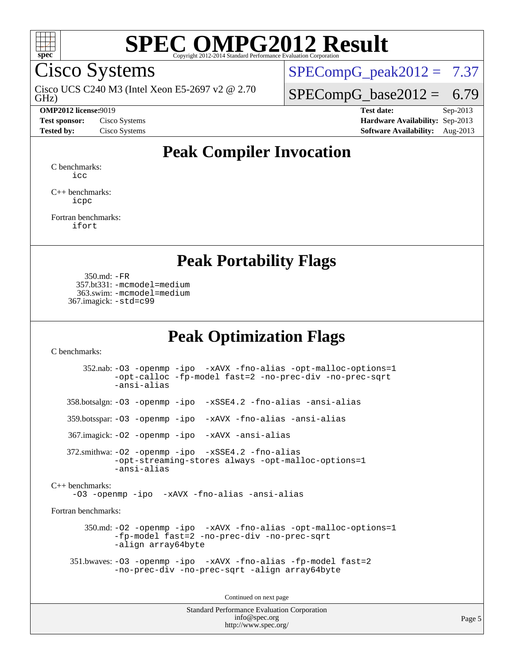

Cisco Systems

GHz) Cisco UCS C240 M3 (Intel Xeon E5-2697 v2 @ 2.70

 $SPECompG_peak2012 = 7.37$  $SPECompG_peak2012 = 7.37$ 

 $SPECompG_base2012 = 6.79$  $SPECompG_base2012 = 6.79$ 

**[OMP2012 license:](http://www.spec.org/auto/omp2012/Docs/result-fields.html#OMP2012license)**9019 **[Test date:](http://www.spec.org/auto/omp2012/Docs/result-fields.html#Testdate)** Sep-2013 **[Test sponsor:](http://www.spec.org/auto/omp2012/Docs/result-fields.html#Testsponsor)** Cisco Systems **[Hardware Availability:](http://www.spec.org/auto/omp2012/Docs/result-fields.html#HardwareAvailability)** Sep-2013 **[Tested by:](http://www.spec.org/auto/omp2012/Docs/result-fields.html#Testedby)** Cisco Systems **[Software Availability:](http://www.spec.org/auto/omp2012/Docs/result-fields.html#SoftwareAvailability)** Aug-2013

## **[Peak Compiler Invocation](http://www.spec.org/auto/omp2012/Docs/result-fields.html#PeakCompilerInvocation)**

[C benchmarks](http://www.spec.org/auto/omp2012/Docs/result-fields.html#Cbenchmarks): [icc](http://www.spec.org/omp2012/results/res2014q1/omp2012-20130918-00037.flags.html#user_CCpeak_intel_icc_a87c68a857bc5ec5362391a49d3a37a6)

[C++ benchmarks:](http://www.spec.org/auto/omp2012/Docs/result-fields.html#CXXbenchmarks) [icpc](http://www.spec.org/omp2012/results/res2014q1/omp2012-20130918-00037.flags.html#user_CXXpeak_intel_icpc_2d899f8d163502b12eb4a60069f80c1c)

[Fortran benchmarks](http://www.spec.org/auto/omp2012/Docs/result-fields.html#Fortranbenchmarks): [ifort](http://www.spec.org/omp2012/results/res2014q1/omp2012-20130918-00037.flags.html#user_FCpeak_intel_ifort_8a5e5e06b19a251bdeaf8fdab5d62f20)

### **[Peak Portability Flags](http://www.spec.org/auto/omp2012/Docs/result-fields.html#PeakPortabilityFlags)**

 350.md: [-FR](http://www.spec.org/omp2012/results/res2014q1/omp2012-20130918-00037.flags.html#user_peakFPORTABILITY350_md_f-FR) 357.bt331: [-mcmodel=medium](http://www.spec.org/omp2012/results/res2014q1/omp2012-20130918-00037.flags.html#user_peakPORTABILITY357_bt331_f-mcmodel_3a41622424bdd074c4f0f2d2f224c7e5) 363.swim: [-mcmodel=medium](http://www.spec.org/omp2012/results/res2014q1/omp2012-20130918-00037.flags.html#user_peakPORTABILITY363_swim_f-mcmodel_3a41622424bdd074c4f0f2d2f224c7e5) 367.imagick: [-std=c99](http://www.spec.org/omp2012/results/res2014q1/omp2012-20130918-00037.flags.html#user_peakCPORTABILITY367_imagick_f-std_2ec6533b6e06f1c4a6c9b78d9e9cde24)

## **[Peak Optimization Flags](http://www.spec.org/auto/omp2012/Docs/result-fields.html#PeakOptimizationFlags)**

[C benchmarks](http://www.spec.org/auto/omp2012/Docs/result-fields.html#Cbenchmarks):

 352.nab: [-O3](http://www.spec.org/omp2012/results/res2014q1/omp2012-20130918-00037.flags.html#user_peakOPTIMIZE352_nab_f-O3) [-openmp](http://www.spec.org/omp2012/results/res2014q1/omp2012-20130918-00037.flags.html#user_peakOPTIMIZE352_nab_f-openmp) [-ipo](http://www.spec.org/omp2012/results/res2014q1/omp2012-20130918-00037.flags.html#user_peakOPTIMIZE352_nab_f-ipo_84062ab53814f613187d02344b8f49a7) [-xAVX](http://www.spec.org/omp2012/results/res2014q1/omp2012-20130918-00037.flags.html#user_peakOPTIMIZE352_nab_f-xAVX) [-fno-alias](http://www.spec.org/omp2012/results/res2014q1/omp2012-20130918-00037.flags.html#user_peakOPTIMIZE352_nab_f-no-alias_694e77f6c5a51e658e82ccff53a9e63a) [-opt-malloc-options=1](http://www.spec.org/omp2012/results/res2014q1/omp2012-20130918-00037.flags.html#user_peakOPTIMIZE352_nab_f-opt-malloc-options_d882ffc6ff87e51efe45f9a5190004b0) [-opt-calloc](http://www.spec.org/omp2012/results/res2014q1/omp2012-20130918-00037.flags.html#user_peakOPTIMIZE352_nab_f-opt-calloc) [-fp-model fast=2](http://www.spec.org/omp2012/results/res2014q1/omp2012-20130918-00037.flags.html#user_peakOPTIMIZE352_nab_f-fp-model_a7fb8ccb7275e23f0079632c153cfcab) [-no-prec-div](http://www.spec.org/omp2012/results/res2014q1/omp2012-20130918-00037.flags.html#user_peakOPTIMIZE352_nab_f-no-prec-div) [-no-prec-sqrt](http://www.spec.org/omp2012/results/res2014q1/omp2012-20130918-00037.flags.html#user_peakOPTIMIZE352_nab_f-no-prec-sqrt) [-ansi-alias](http://www.spec.org/omp2012/results/res2014q1/omp2012-20130918-00037.flags.html#user_peakCOPTIMIZE352_nab_f-ansi-alias) 358.botsalgn: [-O3](http://www.spec.org/omp2012/results/res2014q1/omp2012-20130918-00037.flags.html#user_peakOPTIMIZE358_botsalgn_f-O3) [-openmp](http://www.spec.org/omp2012/results/res2014q1/omp2012-20130918-00037.flags.html#user_peakOPTIMIZE358_botsalgn_f-openmp) [-ipo](http://www.spec.org/omp2012/results/res2014q1/omp2012-20130918-00037.flags.html#user_peakOPTIMIZE358_botsalgn_f-ipo_84062ab53814f613187d02344b8f49a7) [-xSSE4.2](http://www.spec.org/omp2012/results/res2014q1/omp2012-20130918-00037.flags.html#user_peakOPTIMIZE358_botsalgn_f-xSSE42_f91528193cf0b216347adb8b939d4107) [-fno-alias](http://www.spec.org/omp2012/results/res2014q1/omp2012-20130918-00037.flags.html#user_peakOPTIMIZE358_botsalgn_f-no-alias_694e77f6c5a51e658e82ccff53a9e63a) [-ansi-alias](http://www.spec.org/omp2012/results/res2014q1/omp2012-20130918-00037.flags.html#user_peakCOPTIMIZE358_botsalgn_f-ansi-alias) 359.botsspar: [-O3](http://www.spec.org/omp2012/results/res2014q1/omp2012-20130918-00037.flags.html#user_peakOPTIMIZE359_botsspar_f-O3) [-openmp](http://www.spec.org/omp2012/results/res2014q1/omp2012-20130918-00037.flags.html#user_peakOPTIMIZE359_botsspar_f-openmp) [-ipo](http://www.spec.org/omp2012/results/res2014q1/omp2012-20130918-00037.flags.html#user_peakOPTIMIZE359_botsspar_f-ipo_84062ab53814f613187d02344b8f49a7) [-xAVX](http://www.spec.org/omp2012/results/res2014q1/omp2012-20130918-00037.flags.html#user_peakOPTIMIZE359_botsspar_f-xAVX) [-fno-alias](http://www.spec.org/omp2012/results/res2014q1/omp2012-20130918-00037.flags.html#user_peakOPTIMIZE359_botsspar_f-no-alias_694e77f6c5a51e658e82ccff53a9e63a) [-ansi-alias](http://www.spec.org/omp2012/results/res2014q1/omp2012-20130918-00037.flags.html#user_peakCOPTIMIZE359_botsspar_f-ansi-alias) 367.imagick: [-O2](http://www.spec.org/omp2012/results/res2014q1/omp2012-20130918-00037.flags.html#user_peakOPTIMIZE367_imagick_f-O2) [-openmp](http://www.spec.org/omp2012/results/res2014q1/omp2012-20130918-00037.flags.html#user_peakOPTIMIZE367_imagick_f-openmp) [-ipo](http://www.spec.org/omp2012/results/res2014q1/omp2012-20130918-00037.flags.html#user_peakOPTIMIZE367_imagick_f-ipo_84062ab53814f613187d02344b8f49a7) [-xAVX](http://www.spec.org/omp2012/results/res2014q1/omp2012-20130918-00037.flags.html#user_peakOPTIMIZE367_imagick_f-xAVX) [-ansi-alias](http://www.spec.org/omp2012/results/res2014q1/omp2012-20130918-00037.flags.html#user_peakCOPTIMIZE367_imagick_f-ansi-alias) 372.smithwa: [-O2](http://www.spec.org/omp2012/results/res2014q1/omp2012-20130918-00037.flags.html#user_peakOPTIMIZE372_smithwa_f-O2) [-openmp](http://www.spec.org/omp2012/results/res2014q1/omp2012-20130918-00037.flags.html#user_peakOPTIMIZE372_smithwa_f-openmp) [-ipo](http://www.spec.org/omp2012/results/res2014q1/omp2012-20130918-00037.flags.html#user_peakOPTIMIZE372_smithwa_f-ipo_84062ab53814f613187d02344b8f49a7) [-xSSE4.2](http://www.spec.org/omp2012/results/res2014q1/omp2012-20130918-00037.flags.html#user_peakOPTIMIZE372_smithwa_f-xSSE42_f91528193cf0b216347adb8b939d4107) [-fno-alias](http://www.spec.org/omp2012/results/res2014q1/omp2012-20130918-00037.flags.html#user_peakOPTIMIZE372_smithwa_f-no-alias_694e77f6c5a51e658e82ccff53a9e63a) [-opt-streaming-stores always](http://www.spec.org/omp2012/results/res2014q1/omp2012-20130918-00037.flags.html#user_peakOPTIMIZE372_smithwa_f-opt-streaming-stores-always_66f55dbc532842151ebc4c82f4f5b019) [-opt-malloc-options=1](http://www.spec.org/omp2012/results/res2014q1/omp2012-20130918-00037.flags.html#user_peakOPTIMIZE372_smithwa_f-opt-malloc-options_d882ffc6ff87e51efe45f9a5190004b0) [-ansi-alias](http://www.spec.org/omp2012/results/res2014q1/omp2012-20130918-00037.flags.html#user_peakCOPTIMIZE372_smithwa_f-ansi-alias) [C++ benchmarks:](http://www.spec.org/auto/omp2012/Docs/result-fields.html#CXXbenchmarks) [-O3](http://www.spec.org/omp2012/results/res2014q1/omp2012-20130918-00037.flags.html#user_CXXpeak_f-O3) [-openmp](http://www.spec.org/omp2012/results/res2014q1/omp2012-20130918-00037.flags.html#user_CXXpeak_f-openmp) [-ipo](http://www.spec.org/omp2012/results/res2014q1/omp2012-20130918-00037.flags.html#user_CXXpeak_f-ipo_84062ab53814f613187d02344b8f49a7) [-xAVX](http://www.spec.org/omp2012/results/res2014q1/omp2012-20130918-00037.flags.html#user_CXXpeak_f-xAVX) [-fno-alias](http://www.spec.org/omp2012/results/res2014q1/omp2012-20130918-00037.flags.html#user_CXXpeak_f-no-alias_694e77f6c5a51e658e82ccff53a9e63a) [-ansi-alias](http://www.spec.org/omp2012/results/res2014q1/omp2012-20130918-00037.flags.html#user_CXXpeak_f-ansi-alias) [Fortran benchmarks](http://www.spec.org/auto/omp2012/Docs/result-fields.html#Fortranbenchmarks): 350.md: [-O2](http://www.spec.org/omp2012/results/res2014q1/omp2012-20130918-00037.flags.html#user_peakOPTIMIZE350_md_f-O2) [-openmp](http://www.spec.org/omp2012/results/res2014q1/omp2012-20130918-00037.flags.html#user_peakOPTIMIZE350_md_f-openmp) [-ipo](http://www.spec.org/omp2012/results/res2014q1/omp2012-20130918-00037.flags.html#user_peakOPTIMIZE350_md_f-ipo_84062ab53814f613187d02344b8f49a7) [-xAVX](http://www.spec.org/omp2012/results/res2014q1/omp2012-20130918-00037.flags.html#user_peakOPTIMIZE350_md_f-xAVX) [-fno-alias](http://www.spec.org/omp2012/results/res2014q1/omp2012-20130918-00037.flags.html#user_peakOPTIMIZE350_md_f-no-alias_694e77f6c5a51e658e82ccff53a9e63a) [-opt-malloc-options=1](http://www.spec.org/omp2012/results/res2014q1/omp2012-20130918-00037.flags.html#user_peakOPTIMIZE350_md_f-opt-malloc-options_d882ffc6ff87e51efe45f9a5190004b0) [-fp-model fast=2](http://www.spec.org/omp2012/results/res2014q1/omp2012-20130918-00037.flags.html#user_peakFOPTIMIZE350_md_f-fp-model_a7fb8ccb7275e23f0079632c153cfcab) [-no-prec-div](http://www.spec.org/omp2012/results/res2014q1/omp2012-20130918-00037.flags.html#user_peakFOPTIMIZE350_md_f-no-prec-div) [-no-prec-sqrt](http://www.spec.org/omp2012/results/res2014q1/omp2012-20130918-00037.flags.html#user_peakFOPTIMIZE350_md_f-no-prec-sqrt) [-align array64byte](http://www.spec.org/omp2012/results/res2014q1/omp2012-20130918-00037.flags.html#user_peakFOPTIMIZE350_md_f-align_c9377f996e966d652baaf753401d4725) 351.bwaves: [-O3](http://www.spec.org/omp2012/results/res2014q1/omp2012-20130918-00037.flags.html#user_peakOPTIMIZE351_bwaves_f-O3) [-openmp](http://www.spec.org/omp2012/results/res2014q1/omp2012-20130918-00037.flags.html#user_peakOPTIMIZE351_bwaves_f-openmp) [-ipo](http://www.spec.org/omp2012/results/res2014q1/omp2012-20130918-00037.flags.html#user_peakOPTIMIZE351_bwaves_f-ipo_84062ab53814f613187d02344b8f49a7) [-xAVX](http://www.spec.org/omp2012/results/res2014q1/omp2012-20130918-00037.flags.html#user_peakOPTIMIZE351_bwaves_f-xAVX) [-fno-alias](http://www.spec.org/omp2012/results/res2014q1/omp2012-20130918-00037.flags.html#user_peakOPTIMIZE351_bwaves_f-no-alias_694e77f6c5a51e658e82ccff53a9e63a) [-fp-model fast=2](http://www.spec.org/omp2012/results/res2014q1/omp2012-20130918-00037.flags.html#user_peakFOPTIMIZE351_bwaves_f-fp-model_a7fb8ccb7275e23f0079632c153cfcab) [-no-prec-div](http://www.spec.org/omp2012/results/res2014q1/omp2012-20130918-00037.flags.html#user_peakFOPTIMIZE351_bwaves_f-no-prec-div) [-no-prec-sqrt](http://www.spec.org/omp2012/results/res2014q1/omp2012-20130918-00037.flags.html#user_peakFOPTIMIZE351_bwaves_f-no-prec-sqrt) [-align array64byte](http://www.spec.org/omp2012/results/res2014q1/omp2012-20130918-00037.flags.html#user_peakFOPTIMIZE351_bwaves_f-align_c9377f996e966d652baaf753401d4725) Continued on next page

Standard Performance Evaluation Corporation [info@spec.org](mailto:info@spec.org) <http://www.spec.org/>